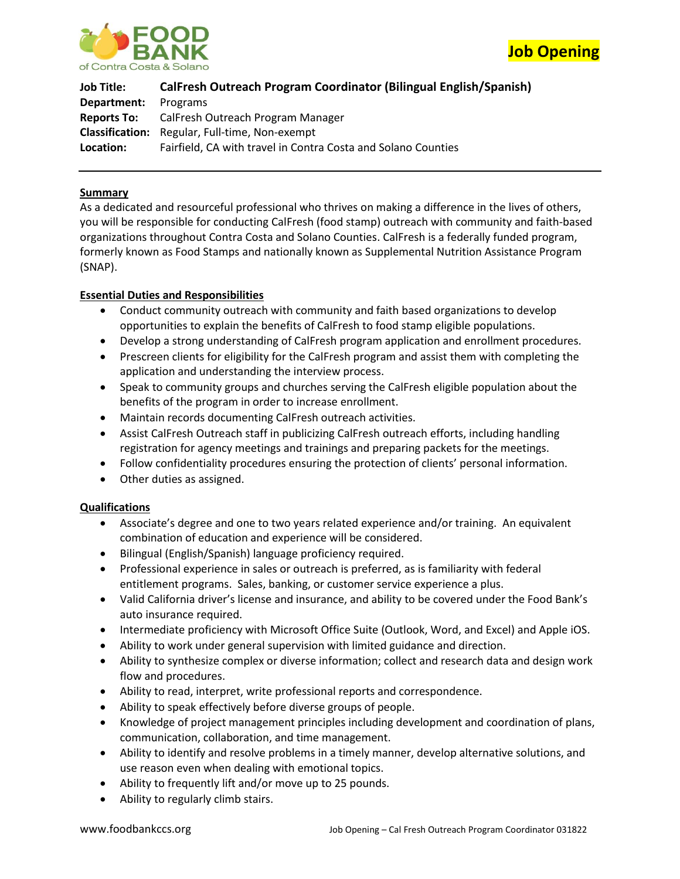



**Job Title: CalFresh Outreach Program Coordinator (Bilingual English/Spanish) Department:** Programs **Reports To:** CalFresh Outreach Program Manager **Classification:** Regular, Full-time, Non-exempt **Location:** Fairfield, CA with travel in Contra Costa and Solano Counties

## **Summary**

As a dedicated and resourceful professional who thrives on making a difference in the lives of others, you will be responsible for conducting CalFresh (food stamp) outreach with community and faith-based organizations throughout Contra Costa and Solano Counties. CalFresh is a federally funded program, formerly known as Food Stamps and nationally known as Supplemental Nutrition Assistance Program (SNAP).

## **Essential Duties and Responsibilities**

- Conduct community outreach with community and faith based organizations to develop opportunities to explain the benefits of CalFresh to food stamp eligible populations.
- Develop a strong understanding of CalFresh program application and enrollment procedures.
- Prescreen clients for eligibility for the CalFresh program and assist them with completing the application and understanding the interview process.
- Speak to community groups and churches serving the CalFresh eligible population about the benefits of the program in order to increase enrollment.
- Maintain records documenting CalFresh outreach activities.
- Assist CalFresh Outreach staff in publicizing CalFresh outreach efforts, including handling registration for agency meetings and trainings and preparing packets for the meetings.
- Follow confidentiality procedures ensuring the protection of clients' personal information.
- Other duties as assigned.

# **Qualifications**

- Associate's degree and one to two years related experience and/or training. An equivalent combination of education and experience will be considered.
- Bilingual (English/Spanish) language proficiency required.
- Professional experience in sales or outreach is preferred, as is familiarity with federal entitlement programs. Sales, banking, or customer service experience a plus.
- Valid California driver's license and insurance, and ability to be covered under the Food Bank's auto insurance required.
- Intermediate proficiency with Microsoft Office Suite (Outlook, Word, and Excel) and Apple iOS.
- Ability to work under general supervision with limited guidance and direction.
- Ability to synthesize complex or diverse information; collect and research data and design work flow and procedures.
- Ability to read, interpret, write professional reports and correspondence.
- Ability to speak effectively before diverse groups of people.
- Knowledge of project management principles including development and coordination of plans, communication, collaboration, and time management.
- Ability to identify and resolve problems in a timely manner, develop alternative solutions, and use reason even when dealing with emotional topics.
- Ability to frequently lift and/or move up to 25 pounds.
- Ability to regularly climb stairs.